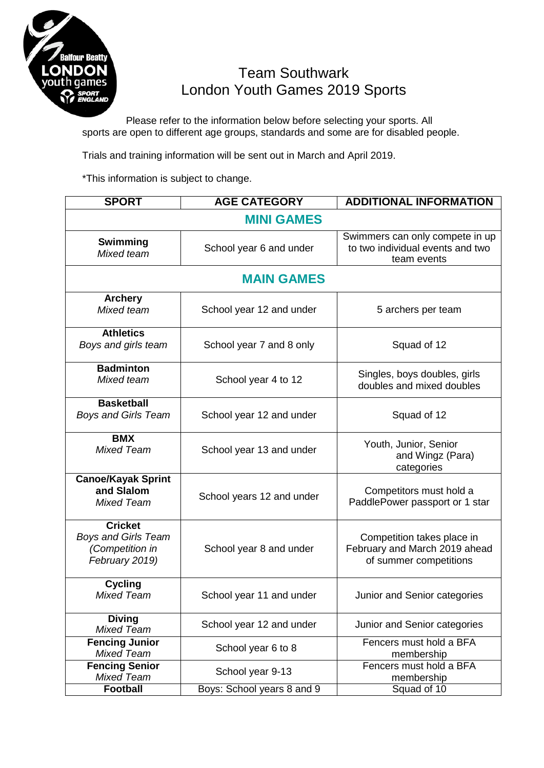

## Team Southwark London Youth Games 2019 Sports

Please refer to the information below before selecting your sports. All sports are open to different age groups, standards and some are for disabled people.

Trials and training information will be sent out in March and April 2019.

\*This information is subject to change.

| <b>SPORT</b>                                                                      | <b>AGE CATEGORY</b>        | <b>ADDITIONAL INFORMATION</b>                                                         |  |  |
|-----------------------------------------------------------------------------------|----------------------------|---------------------------------------------------------------------------------------|--|--|
| <b>MINI GAMES</b>                                                                 |                            |                                                                                       |  |  |
| Swimming<br>Mixed team                                                            | School year 6 and under    | Swimmers can only compete in up<br>to two individual events and two<br>team events    |  |  |
| <b>MAIN GAMES</b>                                                                 |                            |                                                                                       |  |  |
| <b>Archery</b><br>Mixed team                                                      | School year 12 and under   | 5 archers per team                                                                    |  |  |
| <b>Athletics</b><br>Boys and girls team                                           | School year 7 and 8 only   | Squad of 12                                                                           |  |  |
| <b>Badminton</b><br>Mixed team                                                    | School year 4 to 12        | Singles, boys doubles, girls<br>doubles and mixed doubles                             |  |  |
| <b>Basketball</b><br><b>Boys and Girls Team</b>                                   | School year 12 and under   | Squad of 12                                                                           |  |  |
| <b>BMX</b><br><b>Mixed Team</b>                                                   | School year 13 and under   | Youth, Junior, Senior<br>and Wingz (Para)<br>categories                               |  |  |
| <b>Canoe/Kayak Sprint</b><br>and Slalom<br><b>Mixed Team</b>                      | School years 12 and under  | Competitors must hold a<br>PaddlePower passport or 1 star                             |  |  |
| <b>Cricket</b><br><b>Boys and Girls Team</b><br>(Competition in<br>February 2019) | School year 8 and under    | Competition takes place in<br>February and March 2019 ahead<br>of summer competitions |  |  |
| <b>Cycling</b><br><b>Mixed Team</b>                                               | School year 11 and under   | Junior and Senior categories                                                          |  |  |
| <b>Diving</b><br><b>Mixed Team</b>                                                | School year 12 and under   | Junior and Senior categories                                                          |  |  |
| <b>Fencing Junior</b><br><b>Mixed Team</b>                                        | School year 6 to 8         | Fencers must hold a BFA<br>membership                                                 |  |  |
| <b>Fencing Senior</b><br><b>Mixed Team</b>                                        | School year 9-13           | Fencers must hold a BFA<br>membership                                                 |  |  |
| <b>Football</b>                                                                   | Boys: School years 8 and 9 | Squad of 10                                                                           |  |  |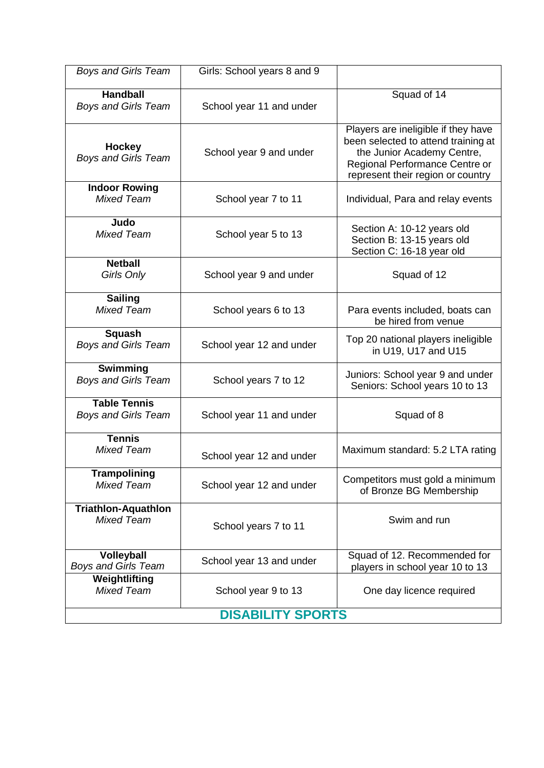| <b>Boys and Girls Team</b>                        | Girls: School years 8 and 9 |                                                                                                                                                                                 |  |  |
|---------------------------------------------------|-----------------------------|---------------------------------------------------------------------------------------------------------------------------------------------------------------------------------|--|--|
| <b>Handball</b><br><b>Boys and Girls Team</b>     | School year 11 and under    | Squad of 14                                                                                                                                                                     |  |  |
| <b>Hockey</b><br><b>Boys and Girls Team</b>       | School year 9 and under     | Players are ineligible if they have<br>been selected to attend training at<br>the Junior Academy Centre,<br>Regional Performance Centre or<br>represent their region or country |  |  |
| <b>Indoor Rowing</b><br>Mixed Team                | School year 7 to 11         | Individual, Para and relay events                                                                                                                                               |  |  |
| Judo<br><b>Mixed Team</b>                         | School year 5 to 13         | Section A: 10-12 years old<br>Section B: 13-15 years old<br>Section C: 16-18 year old                                                                                           |  |  |
| <b>Netball</b><br>Girls Only                      | School year 9 and under     | Squad of 12                                                                                                                                                                     |  |  |
| <b>Sailing</b><br><b>Mixed Team</b>               | School years 6 to 13        | Para events included, boats can<br>be hired from venue                                                                                                                          |  |  |
| <b>Squash</b><br><b>Boys and Girls Team</b>       | School year 12 and under    | Top 20 national players ineligible<br>in U19, U17 and U15                                                                                                                       |  |  |
| Swimming<br><b>Boys and Girls Team</b>            | School years 7 to 12        | Juniors: School year 9 and under<br>Seniors: School years 10 to 13                                                                                                              |  |  |
| <b>Table Tennis</b><br><b>Boys and Girls Team</b> | School year 11 and under    | Squad of 8                                                                                                                                                                      |  |  |
| <b>Tennis</b><br><b>Mixed Team</b>                | School year 12 and under    | Maximum standard: 5.2 LTA rating                                                                                                                                                |  |  |
| <b>Trampolining</b><br><b>Mixed Team</b>          | School year 12 and under    | Competitors must gold a minimum<br>of Bronze BG Membership                                                                                                                      |  |  |
| <b>Triathlon-Aquathlon</b><br><b>Mixed Team</b>   | School years 7 to 11        | Swim and run                                                                                                                                                                    |  |  |
| Volleyball<br><b>Boys and Girls Team</b>          | School year 13 and under    | Squad of 12. Recommended for<br>players in school year 10 to 13                                                                                                                 |  |  |
| Weightlifting<br><b>Mixed Team</b>                | School year 9 to 13         | One day licence required                                                                                                                                                        |  |  |
| <b>DISABILITY SPORTS</b>                          |                             |                                                                                                                                                                                 |  |  |